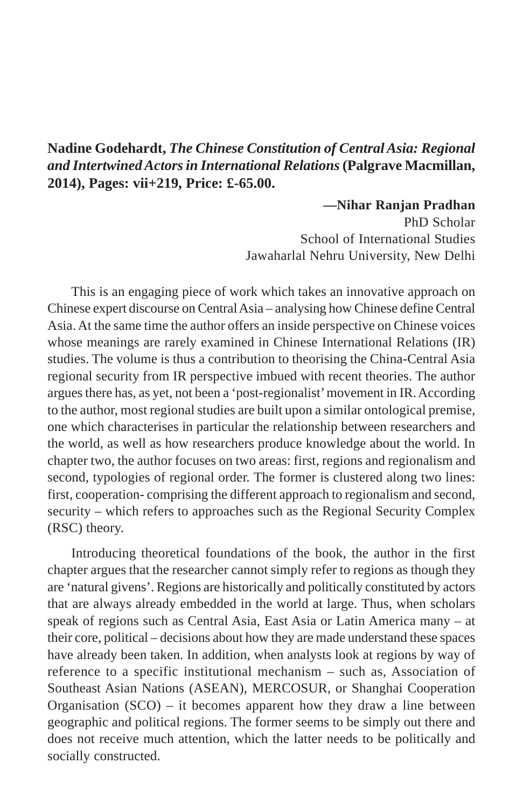## **Nadine Godehardt,** *The Chinese Constitution of Central Asia: Regional and Intertwined Actors in International Relations* **(Palgrave Macmillan, 2014), Pages: vii+219, Price: £-65.00.**

**—Nihar Ranjan Pradhan** PhD Scholar School of International Studies Jawaharlal Nehru University, New Delhi

This is an engaging piece of work which takes an innovative approach on Chinese expert discourse on Central Asia – analysing how Chinese define Central Asia. At the same time the author offers an inside perspective on Chinese voices whose meanings are rarely examined in Chinese International Relations (IR) studies. The volume is thus a contribution to theorising the China-Central Asia regional security from IR perspective imbued with recent theories. The author argues there has, as yet, not been a 'post-regionalist' movement in IR. According to the author, most regional studies are built upon a similar ontological premise, one which characterises in particular the relationship between researchers and the world, as well as how researchers produce knowledge about the world. In chapter two, the author focuses on two areas: first, regions and regionalism and second, typologies of regional order. The former is clustered along two lines: first, cooperation- comprising the different approach to regionalism and second, security – which refers to approaches such as the Regional Security Complex (RSC) theory.

Introducing theoretical foundations of the book, the author in the first chapter argues that the researcher cannot simply refer to regions as though they are 'natural givens'. Regions are historically and politically constituted by actors that are always already embedded in the world at large. Thus, when scholars speak of regions such as Central Asia, East Asia or Latin America many – at their core, political – decisions about how they are made understand these spaces have already been taken. In addition, when analysts look at regions by way of reference to a specific institutional mechanism – such as, Association of Southeast Asian Nations (ASEAN), MERCOSUR, or Shanghai Cooperation Organisation  $(SCO)$  – it becomes apparent how they draw a line between geographic and political regions. The former seems to be simply out there and does not receive much attention, which the latter needs to be politically and socially constructed.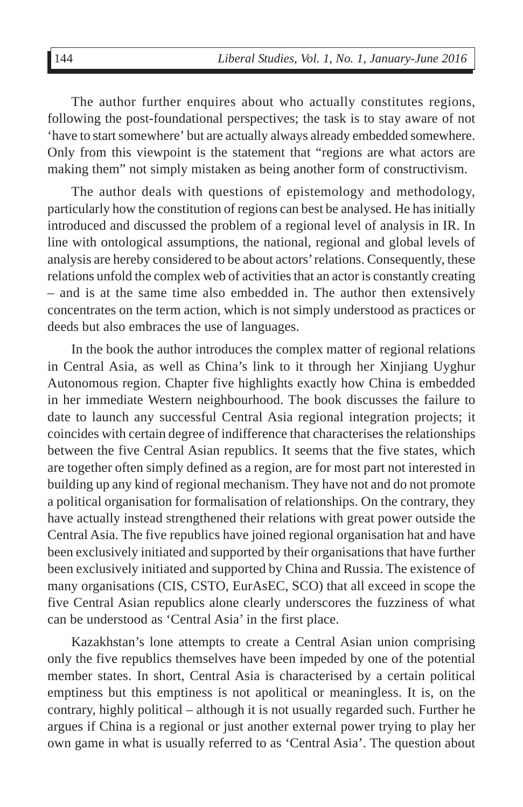The author further enquires about who actually constitutes regions, following the post-foundational perspectives; the task is to stay aware of not 'have to start somewhere' but are actually always already embedded somewhere. Only from this viewpoint is the statement that "regions are what actors are making them" not simply mistaken as being another form of constructivism.

The author deals with questions of epistemology and methodology, particularly how the constitution of regions can best be analysed. He has initially introduced and discussed the problem of a regional level of analysis in IR. In line with ontological assumptions, the national, regional and global levels of analysis are hereby considered to be about actors' relations. Consequently, these relations unfold the complex web of activities that an actor is constantly creating – and is at the same time also embedded in. The author then extensively concentrates on the term action, which is not simply understood as practices or deeds but also embraces the use of languages.

In the book the author introduces the complex matter of regional relations in Central Asia, as well as China's link to it through her Xinjiang Uyghur Autonomous region. Chapter five highlights exactly how China is embedded in her immediate Western neighbourhood. The book discusses the failure to date to launch any successful Central Asia regional integration projects; it coincides with certain degree of indifference that characterises the relationships between the five Central Asian republics. It seems that the five states, which are together often simply defined as a region, are for most part not interested in building up any kind of regional mechanism. They have not and do not promote a political organisation for formalisation of relationships. On the contrary, they have actually instead strengthened their relations with great power outside the Central Asia. The five republics have joined regional organisation hat and have been exclusively initiated and supported by their organisations that have further been exclusively initiated and supported by China and Russia. The existence of many organisations (CIS, CSTO, EurAsEC, SCO) that all exceed in scope the five Central Asian republics alone clearly underscores the fuzziness of what can be understood as 'Central Asia' in the first place.

Kazakhstan's lone attempts to create a Central Asian union comprising only the five republics themselves have been impeded by one of the potential member states. In short, Central Asia is characterised by a certain political emptiness but this emptiness is not apolitical or meaningless. It is, on the contrary, highly political – although it is not usually regarded such. Further he argues if China is a regional or just another external power trying to play her own game in what is usually referred to as 'Central Asia'. The question about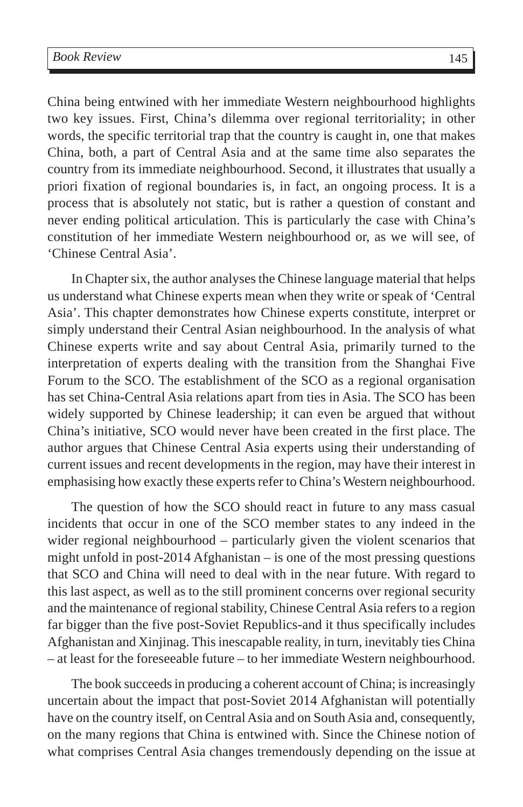China being entwined with her immediate Western neighbourhood highlights two key issues. First, China's dilemma over regional territoriality; in other words, the specific territorial trap that the country is caught in, one that makes China, both, a part of Central Asia and at the same time also separates the country from its immediate neighbourhood. Second, it illustrates that usually a priori fixation of regional boundaries is, in fact, an ongoing process. It is a process that is absolutely not static, but is rather a question of constant and never ending political articulation. This is particularly the case with China's constitution of her immediate Western neighbourhood or, as we will see, of 'Chinese Central Asia'.

In Chapter six, the author analyses the Chinese language material that helps us understand what Chinese experts mean when they write or speak of 'Central Asia'. This chapter demonstrates how Chinese experts constitute, interpret or simply understand their Central Asian neighbourhood. In the analysis of what Chinese experts write and say about Central Asia, primarily turned to the interpretation of experts dealing with the transition from the Shanghai Five Forum to the SCO. The establishment of the SCO as a regional organisation has set China-Central Asia relations apart from ties in Asia. The SCO has been widely supported by Chinese leadership; it can even be argued that without China's initiative, SCO would never have been created in the first place. The author argues that Chinese Central Asia experts using their understanding of current issues and recent developments in the region, may have their interest in emphasising how exactly these experts refer to China's Western neighbourhood.

The question of how the SCO should react in future to any mass casual incidents that occur in one of the SCO member states to any indeed in the wider regional neighbourhood – particularly given the violent scenarios that might unfold in post-2014 Afghanistan  $-$  is one of the most pressing questions that SCO and China will need to deal with in the near future. With regard to this last aspect, as well as to the still prominent concerns over regional security and the maintenance of regional stability, Chinese Central Asia refers to a region far bigger than the five post-Soviet Republics-and it thus specifically includes Afghanistan and Xinjinag. This inescapable reality, in turn, inevitably ties China – at least for the foreseeable future – to her immediate Western neighbourhood.

The book succeeds in producing a coherent account of China; is increasingly uncertain about the impact that post-Soviet 2014 Afghanistan will potentially have on the country itself, on Central Asia and on South Asia and, consequently, on the many regions that China is entwined with. Since the Chinese notion of what comprises Central Asia changes tremendously depending on the issue at